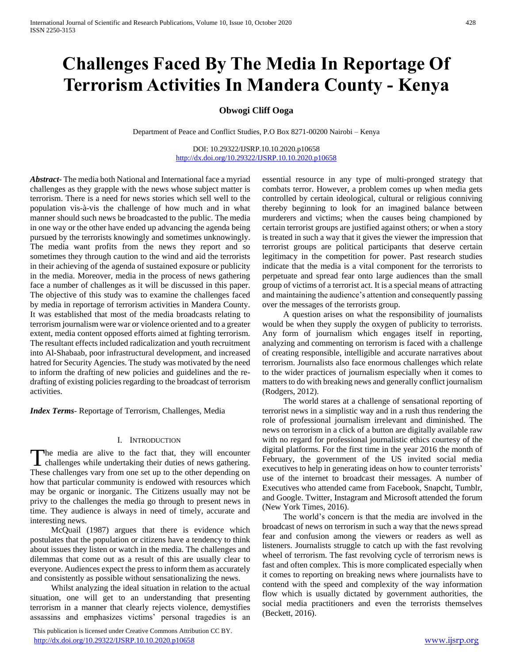# **Challenges Faced By The Media In Reportage Of Terrorism Activities In Mandera County - Kenya**

# **Obwogi Cliff Ooga**

Department of Peace and Conflict Studies, P.O Box 8271-00200 Nairobi – Kenya

DOI: 10.29322/IJSRP.10.10.2020.p10658 <http://dx.doi.org/10.29322/IJSRP.10.10.2020.p10658>

*Abstract***-** The media both National and International face a myriad challenges as they grapple with the news whose subject matter is terrorism. There is a need for news stories which sell well to the population vis-à-vis the challenge of how much and in what manner should such news be broadcasted to the public. The media in one way or the other have ended up advancing the agenda being pursued by the terrorists knowingly and sometimes unknowingly. The media want profits from the news they report and so sometimes they through caution to the wind and aid the terrorists in their achieving of the agenda of sustained exposure or publicity in the media. Moreover, media in the process of news gathering face a number of challenges as it will be discussed in this paper. The objective of this study was to examine the challenges faced by media in reportage of terrorism activities in Mandera County. It was established that most of the media broadcasts relating to terrorism journalism were war or violence oriented and to a greater extent, media content opposed efforts aimed at fighting terrorism. The resultant effects included radicalization and youth recruitment into Al-Shabaab, poor infrastructural development, and increased hatred for Security Agencies. The study was motivated by the need to inform the drafting of new policies and guidelines and the redrafting of existing policies regarding to the broadcast of terrorism activities.

*Index Terms*- Reportage of Terrorism, Challenges, Media

#### I. INTRODUCTION

The media are alive to the fact that, they will encounter The media are alive to the fact that, they will encounter challenges while undertaking their duties of news gathering. These challenges vary from one set up to the other depending on how that particular community is endowed with resources which may be organic or inorganic. The Citizens usually may not be privy to the challenges the media go through to present news in time. They audience is always in need of timely, accurate and interesting news.

 McQuail (1987) argues that there is evidence which postulates that the population or citizens have a tendency to think about issues they listen or watch in the media. The challenges and dilemmas that come out as a result of this are usually clear to everyone. Audiences expect the press to inform them as accurately and consistently as possible without sensationalizing the news.

 Whilst analyzing the ideal situation in relation to the actual situation, one will get to an understanding that presenting terrorism in a manner that clearly rejects violence, demystifies assassins and emphasizes victims' personal tragedies is an

 This publication is licensed under Creative Commons Attribution CC BY. <http://dx.doi.org/10.29322/IJSRP.10.10.2020.p10658> [www.ijsrp.org](http://ijsrp.org/)

essential resource in any type of multi-pronged strategy that combats terror. However, a problem comes up when media gets controlled by certain ideological, cultural or religious conniving thereby beginning to look for an imagined balance between murderers and victims; when the causes being championed by certain terrorist groups are justified against others; or when a story is treated in such a way that it gives the viewer the impression that terrorist groups are political participants that deserve certain legitimacy in the competition for power. Past research studies indicate that the media is a vital component for the terrorists to perpetuate and spread fear onto large audiences than the small group of victims of a terrorist act. It is a special means of attracting and maintaining the audience's attention and consequently passing over the messages of the terrorists group.

 A question arises on what the responsibility of journalists would be when they supply the oxygen of publicity to terrorists. Any form of journalism which engages itself in reporting, analyzing and commenting on terrorism is faced with a challenge of creating responsible, intelligible and accurate narratives about terrorism. Journalists also face enormous challenges which relate to the wider practices of journalism especially when it comes to matters to do with breaking news and generally conflict journalism (Rodgers, 2012).

 The world stares at a challenge of sensational reporting of terrorist news in a simplistic way and in a rush thus rendering the role of professional journalism irrelevant and diminished. The news on terrorism in a click of a button are digitally available raw with no regard for professional journalistic ethics courtesy of the digital platforms. For the first time in the year 2016 the month of February, the government of the US invited social media executives to help in generating ideas on how to counter terrorists' use of the internet to broadcast their messages. A number of Executives who attended came from Facebook, Snapcht, Tumblr, and Google. Twitter, Instagram and Microsoft attended the forum (New York Times, 2016).

 The world's concern is that the media are involved in the broadcast of news on terrorism in such a way that the news spread fear and confusion among the viewers or readers as well as listeners. Journalists struggle to catch up with the fast revolving wheel of terrorism. The fast revolving cycle of terrorism news is fast and often complex. This is more complicated especially when it comes to reporting on breaking news where journalists have to contend with the speed and complexity of the way information flow which is usually dictated by government authorities, the social media practitioners and even the terrorists themselves (Beckett, 2016).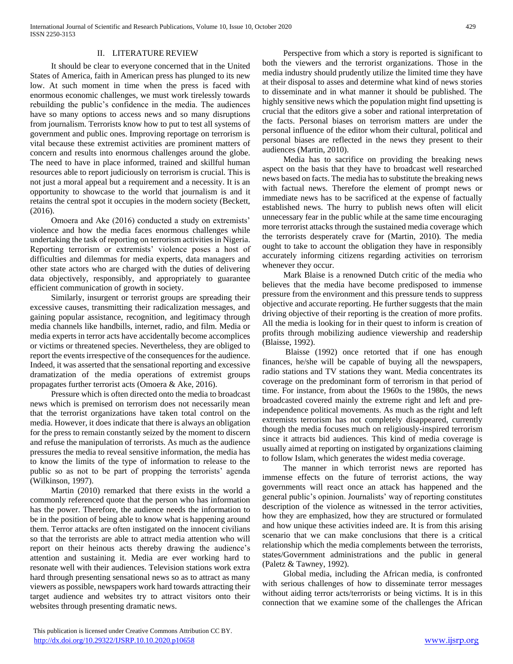## II. LITERATURE REVIEW

 It should be clear to everyone concerned that in the United States of America, faith in American press has plunged to its new low. At such moment in time when the press is faced with enormous economic challenges, we must work tirelessly towards rebuilding the public's confidence in the media. The audiences have so many options to access news and so many disruptions from journalism. Terrorists know how to put to test all systems of government and public ones. Improving reportage on terrorism is vital because these extremist activities are prominent matters of concern and results into enormous challenges around the globe. The need to have in place informed, trained and skillful human resources able to report judiciously on terrorism is crucial. This is not just a moral appeal but a requirement and a necessity. It is an opportunity to showcase to the world that journalism is and it retains the central spot it occupies in the modern society (Beckett, (2016).

 Omoera and Ake (2016) conducted a study on extremists' violence and how the media faces enormous challenges while undertaking the task of reporting on terrorism activities in Nigeria. Reporting terrorism or extremists' violence poses a host of difficulties and dilemmas for media experts, data managers and other state actors who are charged with the duties of delivering data objectively, responsibly, and appropriately to guarantee efficient communication of growth in society.

 Similarly, insurgent or terrorist groups are spreading their excessive causes, transmitting their radicalization messages, and gaining popular assistance, recognition, and legitimacy through media channels like handbills, internet, radio, and film. Media or media experts in terror acts have accidentally become accomplices or victims or threatened species. Nevertheless, they are obliged to report the events irrespective of the consequences for the audience. Indeed, it was asserted that the sensational reporting and excessive dramatization of the media operations of extremist groups propagates further terrorist acts (Omoera & Ake, 2016).

 Pressure which is often directed onto the media to broadcast news which is premised on terrorism does not necessarily mean that the terrorist organizations have taken total control on the media. However, it does indicate that there is always an obligation for the press to remain constantly seized by the moment to discern and refuse the manipulation of terrorists. As much as the audience pressures the media to reveal sensitive information, the media has to know the limits of the type of information to release to the public so as not to be part of propping the terrorists' agenda (Wilkinson, 1997).

 Martin (2010) remarked that there exists in the world a commonly referenced quote that the person who has information has the power. Therefore, the audience needs the information to be in the position of being able to know what is happening around them. Terror attacks are often instigated on the innocent civilians so that the terrorists are able to attract media attention who will report on their heinous acts thereby drawing the audience's attention and sustaining it. Media are ever working hard to resonate well with their audiences. Television stations work extra hard through presenting sensational news so as to attract as many viewers as possible, newspapers work hard towards attracting their target audience and websites try to attract visitors onto their websites through presenting dramatic news.

 Perspective from which a story is reported is significant to both the viewers and the terrorist organizations. Those in the media industry should prudently utilize the limited time they have at their disposal to asses and determine what kind of news stories to disseminate and in what manner it should be published. The highly sensitive news which the population might find upsetting is crucial that the editors give a sober and rational interpretation of the facts. Personal biases on terrorism matters are under the personal influence of the editor whom their cultural, political and personal biases are reflected in the news they present to their audiences (Martin, 2010).

 Media has to sacrifice on providing the breaking news aspect on the basis that they have to broadcast well researched news based on facts. The media has to substitute the breaking news with factual news. Therefore the element of prompt news or immediate news has to be sacrificed at the expense of factually established news. The hurry to publish news often will elicit unnecessary fear in the public while at the same time encouraging more terrorist attacks through the sustained media coverage which the terrorists desperately crave for (Martin, 2010). The media ought to take to account the obligation they have in responsibly accurately informing citizens regarding activities on terrorism whenever they occur.

 Mark Blaise is a renowned Dutch critic of the media who believes that the media have become predisposed to immense pressure from the environment and this pressure tends to suppress objective and accurate reporting. He further suggests that the main driving objective of their reporting is the creation of more profits. All the media is looking for in their quest to inform is creation of profits through mobilizing audience viewership and readership (Blaisse, 1992).

 Blaisse (1992) once retorted that if one has enough finances, he/she will be capable of buying all the newspapers, radio stations and TV stations they want. Media concentrates its coverage on the predominant form of terrorism in that period of time. For instance, from about the 1960s to the 1980s, the news broadcasted covered mainly the extreme right and left and preindependence political movements. As much as the right and left extremists terrorism has not completely disappeared, currently though the media focuses much on religiously-inspired terrorism since it attracts bid audiences. This kind of media coverage is usually aimed at reporting on instigated by organizations claiming to follow Islam, which generates the widest media coverage.

 The manner in which terrorist news are reported has immense effects on the future of terrorist actions, the way governments will react once an attack has happened and the general public's opinion. Journalists' way of reporting constitutes description of the violence as witnessed in the terror activities, how they are emphasized, how they are structured or formulated and how unique these activities indeed are. It is from this arising scenario that we can make conclusions that there is a critical relationship which the media complements between the terrorists, states/Government administrations and the public in general (Paletz & Tawney, 1992).

 Global media, including the African media, is confronted with serious challenges of how to disseminate terror messages without aiding terror acts/terrorists or being victims. It is in this connection that we examine some of the challenges the African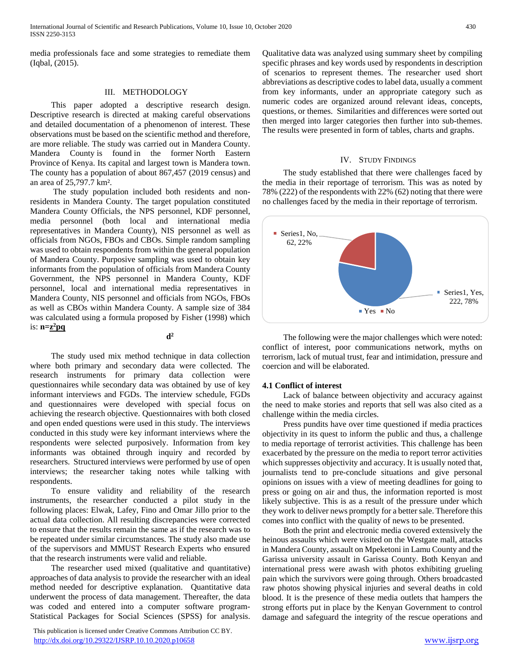media professionals face and some strategies to remediate them (Iqbal, (2015).

# III. METHODOLOGY

 This paper adopted a descriptive research design. Descriptive research is directed at making careful observations and detailed documentation of a phenomenon of interest. These observations must be based on the scientific method and therefore, are more reliable. The study was carried out in Mandera County. Mandera County is found in the former North Eastern Province of Kenya. Its capital and largest town is Mandera town. The county has a population of about 867,457 (2019 census) and an area of 25,797.7 km².

 The study population included both residents and nonresidents in Mandera County. The target population constituted Mandera County Officials, the NPS personnel, KDF personnel, media personnel (both local and international media representatives in Mandera County), NIS personnel as well as officials from NGOs, FBOs and CBOs. Simple random sampling was used to obtain respondents from within the general population of Mandera County. Purposive sampling was used to obtain key informants from the population of officials from Mandera County Government, the NPS personnel in Mandera County, KDF personnel, local and international media representatives in Mandera County, NIS personnel and officials from NGOs, FBOs as well as CBOs within Mandera County. A sample size of 384 was calculated using a formula proposed by Fisher (1998) which is: **n=z <sup>2</sup>pq**

**d**  $d^2$ 

 The study used mix method technique in data collection where both primary and secondary data were collected. The research instruments for primary data collection were questionnaires while secondary data was obtained by use of key informant interviews and FGDs. The interview schedule, FGDs and questionnaires were developed with special focus on achieving the research objective. Questionnaires with both closed and open ended questions were used in this study. The interviews conducted in this study were key informant interviews where the respondents were selected purposively. Information from key informants was obtained through inquiry and recorded by researchers. Structured interviews were performed by use of open interviews; the researcher taking notes while talking with respondents.

 To ensure validity and reliability of the research instruments, the researcher conducted a pilot study in the following places: Elwak, Lafey, Fino and Omar Jillo prior to the actual data collection. All resulting discrepancies were corrected to ensure that the results remain the same as if the research was to be repeated under similar circumstances. The study also made use of the supervisors and MMUST Research Experts who ensured that the research instruments were valid and reliable.

 The researcher used mixed (qualitative and quantitative) approaches of data analysis to provide the researcher with an ideal method needed for descriptive explanation. Quantitative data underwent the process of data management. Thereafter, the data was coded and entered into a computer software program-Statistical Packages for Social Sciences (SPSS) for analysis.

 This publication is licensed under Creative Commons Attribution CC BY. <http://dx.doi.org/10.29322/IJSRP.10.10.2020.p10658> [www.ijsrp.org](http://ijsrp.org/)

Qualitative data was analyzed using summary sheet by compiling specific phrases and key words used by respondents in description of scenarios to represent themes. The researcher used short abbreviations as descriptive codes to label data, usually a comment from key informants, under an appropriate category such as numeric codes are organized around relevant ideas, concepts, questions, or themes. Similarities and differences were sorted out then merged into larger categories then further into sub-themes. The results were presented in form of tables, charts and graphs.

#### IV. STUDY FINDINGS

 The study established that there were challenges faced by the media in their reportage of terrorism. This was as noted by 78% (222) of the respondents with 22% (62) noting that there were no challenges faced by the media in their reportage of terrorism.



 The following were the major challenges which were noted: conflict of interest, poor communications network, myths on terrorism, lack of mutual trust, fear and intimidation, pressure and coercion and will be elaborated.

#### **4.1 Conflict of interest**

 Lack of balance between objectivity and accuracy against the need to make stories and reports that sell was also cited as a challenge within the media circles.

 Press pundits have over time questioned if media practices objectivity in its quest to inform the public and thus, a challenge to media reportage of terrorist activities. This challenge has been exacerbated by the pressure on the media to report terror activities which suppresses objectivity and accuracy. It is usually noted that, journalists tend to pre-conclude situations and give personal opinions on issues with a view of meeting deadlines for going to press or going on air and thus, the information reported is most likely subjective. This is as a result of the pressure under which they work to deliver news promptly for a better sale. Therefore this comes into conflict with the quality of news to be presented.

 Both the print and electronic media covered extensively the heinous assaults which were visited on the Westgate mall, attacks in Mandera County, assault on Mpeketoni in Lamu County and the Garissa university assault in Garissa County. Both Kenyan and international press were awash with photos exhibiting grueling pain which the survivors were going through. Others broadcasted raw photos showing physical injuries and several deaths in cold blood. It is the presence of these media outlets that hampers the strong efforts put in place by the Kenyan Government to control damage and safeguard the integrity of the rescue operations and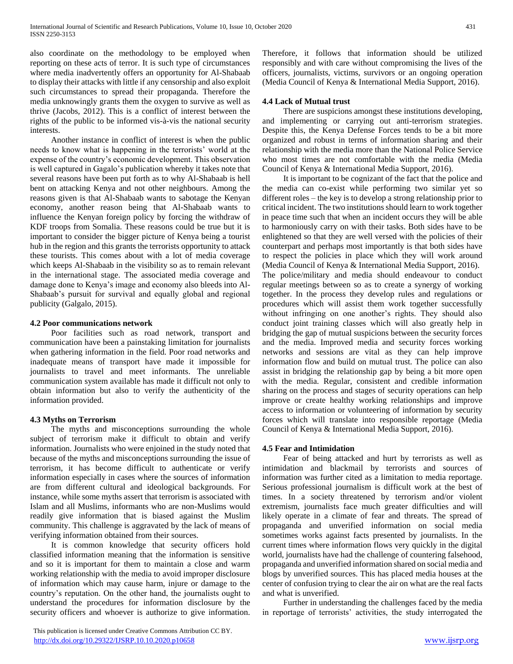also coordinate on the methodology to be employed when reporting on these acts of terror. It is such type of circumstances where media inadvertently offers an opportunity for Al-Shabaab to display their attacks with little if any censorship and also exploit such circumstances to spread their propaganda. Therefore the media unknowingly grants them the oxygen to survive as well as thrive (Jacobs, 2012). This is a conflict of interest between the rights of the public to be informed vis-à-vis the national security interests.

 Another instance in conflict of interest is when the public needs to know what is happening in the terrorists' world at the expense of the country's economic development. This observation is well captured in Gagalo's publication whereby it takes note that several reasons have been put forth as to why Al-Shabaab is hell bent on attacking Kenya and not other neighbours. Among the reasons given is that Al-Shabaab wants to sabotage the Kenyan economy, another reason being that Al-Shabaab wants to influence the Kenyan foreign policy by forcing the withdraw of KDF troops from Somalia. These reasons could be true but it is important to consider the bigger picture of Kenya being a tourist hub in the region and this grants the terrorists opportunity to attack these tourists. This comes about with a lot of media coverage which keeps Al-Shabaab in the visibility so as to remain relevant in the international stage. The associated media coverage and damage done to Kenya's image and economy also bleeds into Al-Shabaab's pursuit for survival and equally global and regional publicity (Galgalo, 2015).

## **4.2 Poor communications network**

 Poor facilities such as road network, transport and communication have been a painstaking limitation for journalists when gathering information in the field. Poor road networks and inadequate means of transport have made it impossible for journalists to travel and meet informants. The unreliable communication system available has made it difficult not only to obtain information but also to verify the authenticity of the information provided.

# **4.3 Myths on Terrorism**

 The myths and misconceptions surrounding the whole subject of terrorism make it difficult to obtain and verify information. Journalists who were enjoined in the study noted that because of the myths and misconceptions surrounding the issue of terrorism, it has become difficult to authenticate or verify information especially in cases where the sources of information are from different cultural and ideological backgrounds. For instance, while some myths assert that terrorism is associated with Islam and all Muslims, informants who are non-Muslims would readily give information that is biased against the Muslim community. This challenge is aggravated by the lack of means of verifying information obtained from their sources.

 It is common knowledge that security officers hold classified information meaning that the information is sensitive and so it is important for them to maintain a close and warm working relationship with the media to avoid improper disclosure of information which may cause harm, injure or damage to the country's reputation. On the other hand, the journalists ought to understand the procedures for information disclosure by the security officers and whoever is authorize to give information.

 This publication is licensed under Creative Commons Attribution CC BY. <http://dx.doi.org/10.29322/IJSRP.10.10.2020.p10658> [www.ijsrp.org](http://ijsrp.org/)

Therefore, it follows that information should be utilized responsibly and with care without compromising the lives of the officers, journalists, victims, survivors or an ongoing operation (Media Council of Kenya & International Media Support, 2016).

# **4.4 Lack of Mutual trust**

 There are suspicions amongst these institutions developing, and implementing or carrying out anti-terrorism strategies. Despite this, the Kenya Defense Forces tends to be a bit more organized and robust in terms of information sharing and their relationship with the media more than the National Police Service who most times are not comfortable with the media (Media Council of Kenya & International Media Support, 2016).

 It is important to be cognizant of the fact that the police and the media can co-exist while performing two similar yet so different roles – the key is to develop a strong relationship prior to critical incident. The two institutions should learn to work together in peace time such that when an incident occurs they will be able to harmoniously carry on with their tasks. Both sides have to be enlightened so that they are well versed with the policies of their counterpart and perhaps most importantly is that both sides have to respect the policies in place which they will work around (Media Council of Kenya & International Media Support, 2016). The police/military and media should endeavour to conduct regular meetings between so as to create a synergy of working together. In the process they develop rules and regulations or procedures which will assist them work together successfully without infringing on one another's rights. They should also conduct joint training classes which will also greatly help in bridging the gap of mutual suspicions between the security forces

and the media. Improved media and security forces working networks and sessions are vital as they can help improve information flow and build on mutual trust. The police can also assist in bridging the relationship gap by being a bit more open with the media. Regular, consistent and credible information sharing on the process and stages of security operations can help improve or create healthy working relationships and improve access to information or volunteering of information by security forces which will translate into responsible reportage (Media Council of Kenya & International Media Support, 2016).

## **4.5 Fear and Intimidation**

 Fear of being attacked and hurt by terrorists as well as intimidation and blackmail by terrorists and sources of information was further cited as a limitation to media reportage. Serious professional journalism is difficult work at the best of times. In a society threatened by terrorism and/or violent extremism, journalists face much greater difficulties and will likely operate in a climate of fear and threats. The spread of propaganda and unverified information on social media sometimes works against facts presented by journalists. In the current times where information flows very quickly in the digital world, journalists have had the challenge of countering falsehood, propaganda and unverified information shared on social media and blogs by unverified sources. This has placed media houses at the center of confusion trying to clear the air on what are the real facts and what is unverified.

 Further in understanding the challenges faced by the media in reportage of terrorists' activities, the study interrogated the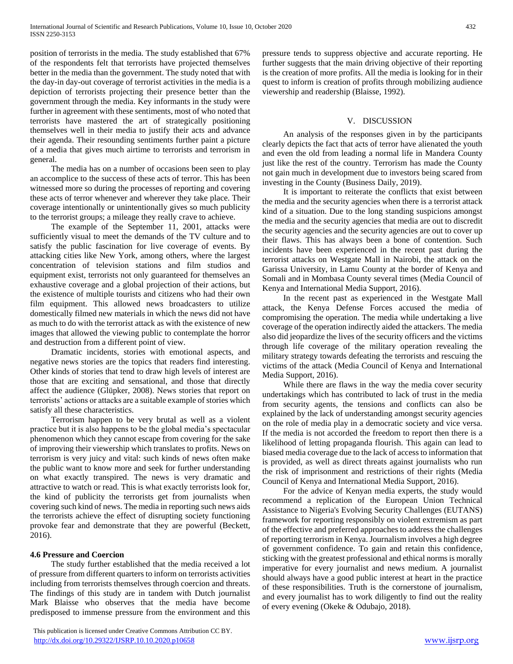position of terrorists in the media. The study established that 67% of the respondents felt that terrorists have projected themselves better in the media than the government. The study noted that with the day-in day-out coverage of terrorist activities in the media is a depiction of terrorists projecting their presence better than the government through the media. Key informants in the study were further in agreement with these sentiments, most of who noted that terrorists have mastered the art of strategically positioning themselves well in their media to justify their acts and advance their agenda. Their resounding sentiments further paint a picture of a media that gives much airtime to terrorists and terrorism in general.

 The media has on a number of occasions been seen to play an accomplice to the success of these acts of terror. This has been witnessed more so during the processes of reporting and covering these acts of terror whenever and wherever they take place. Their coverage intentionally or unintentionally gives so much publicity to the terrorist groups; a mileage they really crave to achieve.

 The example of the September 11, 2001, attacks were sufficiently visual to meet the demands of the TV culture and to satisfy the public fascination for live coverage of events. By attacking cities like New York, among others, where the largest concentration of television stations and film studios and equipment exist, terrorists not only guaranteed for themselves an exhaustive coverage and a global projection of their actions, but the existence of multiple tourists and citizens who had their own film equipment. This allowed news broadcasters to utilize domestically filmed new materials in which the news did not have as much to do with the terrorist attack as with the existence of new images that allowed the viewing public to contemplate the horror and destruction from a different point of view.

 Dramatic incidents, stories with emotional aspects, and negative news stories are the topics that readers find interesting. Other kinds of stories that tend to draw high levels of interest are those that are exciting and sensational, and those that directly affect the audience (Glüpker, 2008). News stories that report on terrorists' actions or attacks are a suitable example of stories which satisfy all these characteristics.

 Terrorism happen to be very brutal as well as a violent practice but it is also happens to be the global media's spectacular phenomenon which they cannot escape from covering for the sake of improving their viewership which translates to profits. News on terrorism is very juicy and vital: such kinds of news often make the public want to know more and seek for further understanding on what exactly transpired. The news is very dramatic and attractive to watch or read. This is what exactly terrorists look for, the kind of publicity the terrorists get from journalists when covering such kind of news. The media in reporting such news aids the terrorists achieve the effect of disrupting society functioning provoke fear and demonstrate that they are powerful (Beckett, 2016).

## **4.6 Pressure and Coercion**

 The study further established that the media received a lot of pressure from different quarters to inform on terrorists activities including from terrorists themselves through coercion and threats. The findings of this study are in tandem with Dutch journalist Mark Blaisse who observes that the media have become predisposed to immense pressure from the environment and this

 This publication is licensed under Creative Commons Attribution CC BY. <http://dx.doi.org/10.29322/IJSRP.10.10.2020.p10658> [www.ijsrp.org](http://ijsrp.org/)

pressure tends to suppress objective and accurate reporting. He further suggests that the main driving objective of their reporting is the creation of more profits. All the media is looking for in their quest to inform is creation of profits through mobilizing audience viewership and readership (Blaisse, 1992).

# V. DISCUSSION

 An analysis of the responses given in by the participants clearly depicts the fact that acts of terror have alienated the youth and even the old from leading a normal life in Mandera County just like the rest of the country. Terrorism has made the County not gain much in development due to investors being scared from investing in the County (Business Daily, 2019).

 It is important to reiterate the conflicts that exist between the media and the security agencies when there is a terrorist attack kind of a situation. Due to the long standing suspicions amongst the media and the security agencies that media are out to discredit the security agencies and the security agencies are out to cover up their flaws. This has always been a bone of contention. Such incidents have been experienced in the recent past during the terrorist attacks on Westgate Mall in Nairobi, the attack on the Garissa University, in Lamu County at the border of Kenya and Somali and in Mombasa County several times (Media Council of Kenya and International Media Support, 2016).

 In the recent past as experienced in the Westgate Mall attack, the Kenya Defense Forces accused the media of compromising the operation. The media while undertaking a live coverage of the operation indirectly aided the attackers. The media also did jeopardize the lives of the security officers and the victims through life coverage of the military operation revealing the military strategy towards defeating the terrorists and rescuing the victims of the attack (Media Council of Kenya and International Media Support, 2016).

 While there are flaws in the way the media cover security undertakings which has contributed to lack of trust in the media from security agents, the tensions and conflicts can also be explained by the lack of understanding amongst security agencies on the role of media play in a democratic society and vice versa. If the media is not accorded the freedom to report then there is a likelihood of letting propaganda flourish. This again can lead to biased media coverage due to the lack of access to information that is provided, as well as direct threats against journalists who run the risk of imprisonment and restrictions of their rights (Media Council of Kenya and International Media Support, 2016).

 For the advice of Kenyan media experts, the study would recommend a replication of the European Union Technical Assistance to Nigeria's Evolving Security Challenges (EUTANS) framework for reporting responsibly on violent extremism as part of the effective and preferred approaches to address the challenges of reporting terrorism in Kenya. Journalism involves a high degree of government confidence. To gain and retain this confidence, sticking with the greatest professional and ethical norms is morally imperative for every journalist and news medium. A journalist should always have a good public interest at heart in the practice of these responsibilities. Truth is the cornerstone of journalism, and every journalist has to work diligently to find out the reality of every evening (Okeke & Odubajo, 2018).